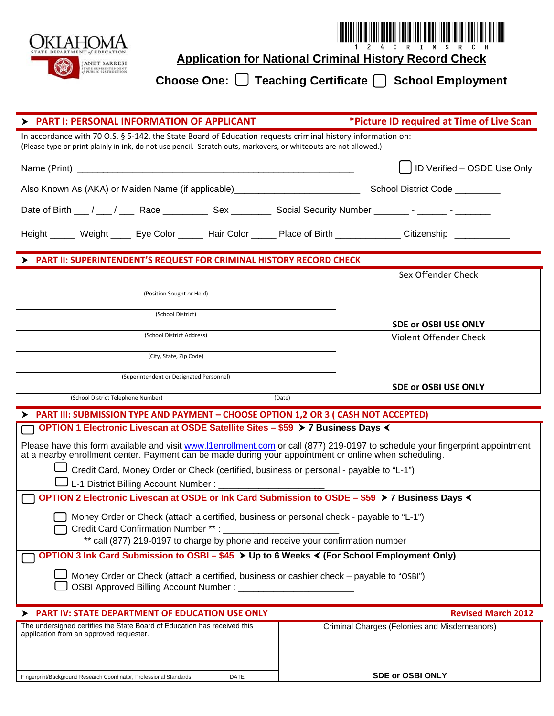

**Application for National Criminal History Record Check** 

Choose One:  $\Box$  Teaching Certificate  $\Box$  School Employment

| <b>PART I: PERSONAL INFORMATION OF APPLICANT</b>                                                                                                                                                                                        | *Picture ID required at Time of Live Scan                    |
|-----------------------------------------------------------------------------------------------------------------------------------------------------------------------------------------------------------------------------------------|--------------------------------------------------------------|
| In accordance with 70 O.S. § 5-142, the State Board of Education requests criminal history information on:<br>(Please type or print plainly in ink, do not use pencil. Scratch outs, markovers, or whiteouts are not allowed.)          |                                                              |
|                                                                                                                                                                                                                                         | ID Verified - OSDE Use Only                                  |
|                                                                                                                                                                                                                                         |                                                              |
| Date of Birth __/ __/ __ Race __________ Sex ________ Social Security Number _______- - ______- - _______                                                                                                                               |                                                              |
| Height ______ Weight _____ Eye Color ______ Hair Color ______ Place of Birth _____________ Citizenship ___________                                                                                                                      |                                                              |
| > PART II: SUPERINTENDENT'S REQUEST FOR CRIMINAL HISTORY RECORD CHECK                                                                                                                                                                   |                                                              |
|                                                                                                                                                                                                                                         | Sex Offender Check                                           |
| (Position Sought or Held)                                                                                                                                                                                                               |                                                              |
| (School District)                                                                                                                                                                                                                       |                                                              |
| (School District Address)                                                                                                                                                                                                               | <b>SDE or OSBI USE ONLY</b><br><b>Violent Offender Check</b> |
| (City, State, Zip Code)                                                                                                                                                                                                                 |                                                              |
|                                                                                                                                                                                                                                         |                                                              |
| (Superintendent or Designated Personnel)                                                                                                                                                                                                | <b>SDE or OSBI USE ONLY</b>                                  |
| (School District Telephone Number)<br>(Date)                                                                                                                                                                                            |                                                              |
| PART III: SUBMISSION TYPE AND PAYMENT - CHOOSE OPTION 1,2 OR 3 ( CASH NOT ACCEPTED)                                                                                                                                                     |                                                              |
| OPTION 1 Electronic Livescan at OSDE Satellite Sites - \$59 > 7 Business Days <                                                                                                                                                         |                                                              |
| Please have this form available and visit www.I1enrollment.com or call (877) 219-0197 to schedule your fingerprint appointment<br>at a nearby enrollment center. Payment can be made during your appointment or online when scheduling. |                                                              |
| Credit Card, Money Order or Check (certified, business or personal - payable to "L-1")                                                                                                                                                  |                                                              |
|                                                                                                                                                                                                                                         |                                                              |
| OPTION 2 Electronic Livescan at OSDE or Ink Card Submission to OSDE - \$59 > 7 Business Days <                                                                                                                                          |                                                              |
| Money Order or Check (attach a certified, business or personal check - payable to "L-1")<br>Credit Card Confirmation Number **:                                                                                                         |                                                              |
| ** call (877) 219-0197 to charge by phone and receive your confirmation number                                                                                                                                                          |                                                              |
| <b>OPTION 3 Ink Card Submission to OSBI – \$45 &gt; Up to 6 Weeks &lt; (For School Employment Only)</b>                                                                                                                                 |                                                              |
| Money Order or Check (attach a certified, business or cashier check - payable to "OSBI")                                                                                                                                                |                                                              |
| <b>OSBI Approved Billing Account Number:</b>                                                                                                                                                                                            |                                                              |
| <b>PART IV: STATE DEPARTMENT OF EDUCATION USE ONLY</b><br>➤                                                                                                                                                                             | <b>Revised March 2012</b>                                    |
| The undersigned certifies the State Board of Education has received this<br>application from an approved requester.                                                                                                                     | Criminal Charges (Felonies and Misdemeanors)                 |
|                                                                                                                                                                                                                                         |                                                              |
|                                                                                                                                                                                                                                         |                                                              |
| Fingerprint/Background Research Coordinator, Professional Standards<br>DATE                                                                                                                                                             | SDE or OSBI ONLY                                             |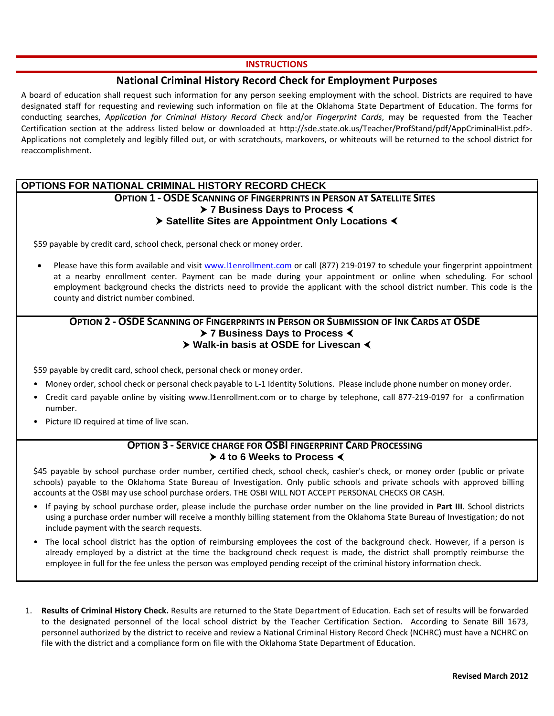#### **INSTRUCTIONS**

# **National Criminal History Record Check for Employment Purposes**

A board of education shall request such information for any person seeking employment with the school. Districts are required to have designated staff for requesting and reviewing such information on file at the Oklahoma State Department of Education. The forms for conducting searches, *Application for Criminal History Record Check* and/or *Fingerprint Cards*, may be requested from the Teacher Certification section at the address listed below or downloaded at http://sde.state.ok.us/Teacher/ProfStand/pdf/AppCriminalHist.pdf>. Applications not completely and legibly filled out, or with scratchouts, markovers, or whiteouts will be returned to the school district for reaccomplishment.

# **OPTIONS FOR NATIONAL CRIMINAL HISTORY RECORD CHECK**

### **OPTION 1 ‐ OSDE SCANNING OF FINGERPRINTS IN PERSON AT SATELLITE SITES 7 Business Days to Process Satellite Sites are Appointment Only Locations**

\$59 payable by credit card, school check, personal check or money order.

Please have this form available and visit www.l1enrollment.com or call (877) 219-0197 to schedule your fingerprint appointment at a nearby enrollment center. Payment can be made during your appointment or online when scheduling. For school employment background checks the districts need to provide the applicant with the school district number. This code is the county and district number combined.

#### **OPTION 2 ‐ OSDE SCANNING OF FINGERPRINTS IN PERSON OR SUBMISSION OF INK CARDS AT OSDE 7 Business Days to Process ▶ Walk-in basis at OSDE for Livescan <**

\$59 payable by credit card, school check, personal check or money order.

- Money order, school check or personal check payable to L-1 Identity Solutions. Please include phone number on money order.
- Credit card payable online by visiting www.l1enrollment.com or to charge by telephone, call 877‐219‐0197 for a confirmation number.
- Picture ID required at time of live scan.

## **OPTION 3 ‐ SERVICE CHARGE FOR OSBI FINGERPRINT CARD PROCESSING 4 to 6 Weeks to Process**

\$45 payable by school purchase order number, certified check, school check, cashier's check, or money order (public or private schools) payable to the Oklahoma State Bureau of Investigation. Only public schools and private schools with approved billing accounts at the OSBI may use school purchase orders. THE OSBI WILL NOT ACCEPT PERSONAL CHECKS OR CASH.

- If paying by school purchase order, please include the purchase order number on the line provided in **Part III**. School districts using a purchase order number will receive a monthly billing statement from the Oklahoma State Bureau of Investigation; do not include payment with the search requests.
- The local school district has the option of reimbursing employees the cost of the background check. However, if a person is already employed by a district at the time the background check request is made, the district shall promptly reimburse the employee in full for the fee unless the person was employed pending receipt of the criminal history information check.
- 1. **Results of Criminal History Check.** Results are returned to the State Department of Education. Each set of results will be forwarded to the designated personnel of the local school district by the Teacher Certification Section. According to Senate Bill 1673, personnel authorized by the district to receive and review a National Criminal History Record Check (NCHRC) must have a NCHRC on file with the district and a compliance form on file with the Oklahoma State Department of Education.